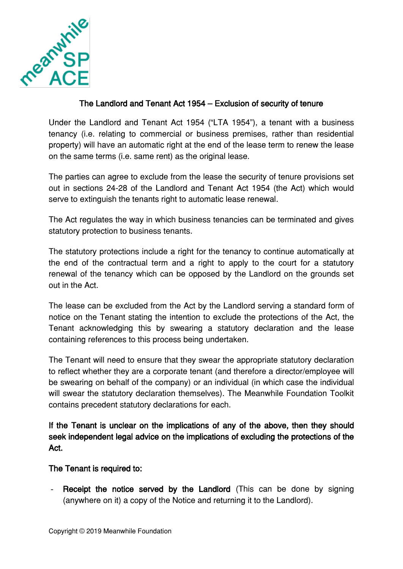

## The Landlord and Tenant Act 1954 – Exclusion of security of tenure

Under the Landlord and Tenant Act 1954 ("LTA 1954"), a tenant with a business tenancy (i.e. relating to commercial or business premises, rather than residential property) will have an automatic right at the end of the lease term to renew the lease on the same terms (i.e. same rent) as the original lease.

The parties can agree to exclude from the lease the security of tenure provisions set out in sections 24-28 of the Landlord and Tenant Act 1954 (the Act) which would serve to extinguish the tenants right to automatic lease renewal.

The Act regulates the way in which business tenancies can be terminated and gives statutory protection to business tenants.

The statutory protections include a right for the tenancy to continue automatically at the end of the contractual term and a right to apply to the court for a statutory renewal of the tenancy which can be opposed by the Landlord on the grounds set out in the Act.

The lease can be excluded from the Act by the Landlord serving a standard form of notice on the Tenant stating the intention to exclude the protections of the Act, the Tenant acknowledging this by swearing a statutory declaration and the lease containing references to this process being undertaken.

The Tenant will need to ensure that they swear the appropriate statutory declaration to reflect whether they are a corporate tenant (and therefore a director/employee will be swearing on behalf of the company) or an individual (in which case the individual will swear the statutory declaration themselves). The Meanwhile Foundation Toolkit contains precedent statutory declarations for each.

If the Tenant is unclear on the implications of any of the above, then they should seek independent legal advice on the implications of excluding the protections of the Act.

## The Tenant is required to:

- Receipt the notice served by the Landlord (This can be done by signing (anywhere on it) a copy of the Notice and returning it to the Landlord).